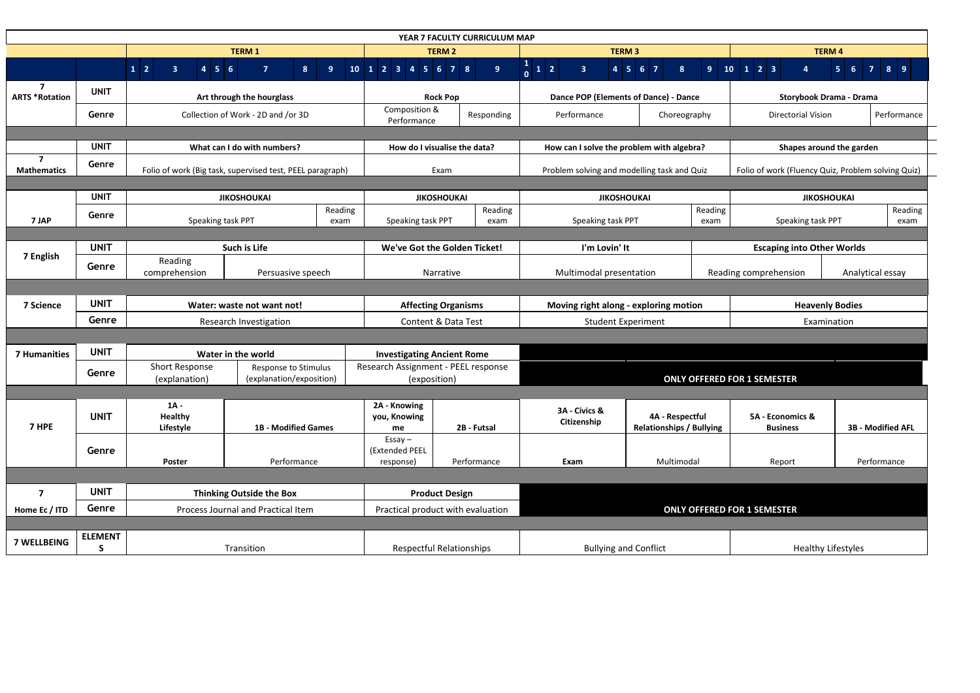| YEAR 7 FACULTY CURRICULUM MAP           |                     |                                                                                            |                                      |                                                     |                                                              |                                             |                                           |                                                                   |                                                    |                                           |                                                                   |                                        |                   |
|-----------------------------------------|---------------------|--------------------------------------------------------------------------------------------|--------------------------------------|-----------------------------------------------------|--------------------------------------------------------------|---------------------------------------------|-------------------------------------------|-------------------------------------------------------------------|----------------------------------------------------|-------------------------------------------|-------------------------------------------------------------------|----------------------------------------|-------------------|
|                                         |                     | <b>TERM1</b>                                                                               |                                      |                                                     | <b>TERM 2</b>                                                |                                             |                                           | <b>TERM3</b>                                                      |                                                    |                                           | <b>TERM 4</b>                                                     |                                        |                   |
|                                         |                     | $1\overline{2}$<br>$\overline{\mathbf{3}}$<br>$4 \mid 5 \mid 6$                            | $\overline{7}$<br>8 <sup>1</sup>     | 9 <sup>°</sup>                                      | $10 \mid 1 \mid 2 \mid 3 \mid 4 \mid 5 \mid 6 \mid 7 \mid 8$ |                                             | 9 <sup>°</sup>                            | $\begin{array}{c c} 1 & 2 \\ 0 & 1 \end{array}$<br>3 <sup>1</sup> | 4 5 6 7<br>8 <sup>°</sup>                          | 9 <sup>°</sup>                            | $\overline{10}$ $\overline{1}$ $\overline{2}$ $\overline{3}$<br>4 | $\overline{7}$<br>5 <sub>1</sub><br>-6 | 8 <sup>9</sup>    |
| $\overline{7}$<br><b>ARTS *Rotation</b> | <b>UNIT</b>         |                                                                                            | Art through the hourglass            |                                                     | <b>Rock Pop</b>                                              |                                             | Dance POP (Elements of Dance) - Dance     |                                                                   |                                                    | <b>Storybook Drama - Drama</b>            |                                                                   |                                        |                   |
|                                         | Genre               |                                                                                            | Collection of Work - 2D and /or 3D   |                                                     | Composition &<br>Performance                                 |                                             | Responding                                | Performance                                                       | Choreography                                       |                                           | <b>Directorial Vision</b>                                         |                                        | Performance       |
|                                         |                     |                                                                                            |                                      |                                                     |                                                              |                                             |                                           |                                                                   |                                                    |                                           |                                                                   |                                        |                   |
|                                         | <b>UNIT</b>         | What can I do with numbers?                                                                |                                      |                                                     | How do I visualise the data?                                 |                                             | How can I solve the problem with algebra? |                                                                   |                                                    | Shapes around the garden                  |                                                                   |                                        |                   |
| $\overline{7}$<br><b>Mathematics</b>    | Genre               | Folio of work (Big task, supervised test, PEEL paragraph)                                  |                                      | Exam                                                |                                                              | Problem solving and modelling task and Quiz |                                           | Folio of work (Fluency Quiz, Problem solving Quiz)                |                                                    |                                           |                                                                   |                                        |                   |
|                                         |                     |                                                                                            |                                      |                                                     |                                                              |                                             |                                           |                                                                   |                                                    |                                           |                                                                   |                                        |                   |
|                                         | <b>UNIT</b>         |                                                                                            | <b>JIKOSHOUKAI</b>                   |                                                     | <b>JIKOSHOUKAI</b>                                           |                                             | <b>JIKOSHOUKAI</b>                        |                                                                   |                                                    | <b>JIKOSHOUKAI</b>                        |                                                                   |                                        |                   |
| 7 JAP                                   | Genre               |                                                                                            | Reading<br>Speaking task PPT<br>exam |                                                     | Speaking task PPT                                            |                                             | Reading<br>exam                           | Speaking task PPT                                                 |                                                    | Reading<br>exam                           | Speaking task PPT                                                 |                                        | Reading<br>exam   |
|                                         |                     |                                                                                            |                                      |                                                     |                                                              |                                             |                                           |                                                                   |                                                    |                                           |                                                                   |                                        |                   |
| 7 English                               | <b>UNIT</b>         | <b>Such is Life</b>                                                                        |                                      |                                                     | We've Got the Golden Ticket!                                 |                                             |                                           | I'm Lovin' It                                                     |                                                    |                                           | <b>Escaping into Other Worlds</b>                                 |                                        |                   |
|                                         | Genre               | Reading<br>Persuasive speech<br>comprehension                                              |                                      |                                                     | Narrative                                                    |                                             | Multimodal presentation                   |                                                                   |                                                    | Reading comprehension<br>Analytical essay |                                                                   |                                        |                   |
|                                         |                     |                                                                                            |                                      |                                                     |                                                              |                                             |                                           |                                                                   |                                                    |                                           |                                                                   |                                        |                   |
| 7 Science                               | <b>UNIT</b>         | Water: waste not want not!<br>Research Investigation                                       |                                      | <b>Affecting Organisms</b>                          |                                                              |                                             | Moving right along - exploring motion     |                                                                   |                                                    | <b>Heavenly Bodies</b>                    |                                                                   |                                        |                   |
|                                         | Genre               |                                                                                            |                                      | <b>Content &amp; Data Test</b>                      |                                                              | <b>Student Experiment</b>                   |                                           |                                                                   | Examination                                        |                                           |                                                                   |                                        |                   |
|                                         |                     |                                                                                            |                                      |                                                     |                                                              |                                             |                                           |                                                                   |                                                    |                                           |                                                                   |                                        |                   |
| <b>7 Humanities</b>                     | <b>UNIT</b>         | Water in the world                                                                         |                                      | <b>Investigating Ancient Rome</b>                   |                                                              |                                             |                                           |                                                                   |                                                    |                                           |                                                                   |                                        |                   |
|                                         | Genre               | <b>Short Response</b><br>Response to Stimulus<br>(explanation/exposition)<br>(explanation) |                                      | Research Assignment - PEEL response<br>(exposition) |                                                              | <b>ONLY OFFERED FOR 1 SEMESTER</b>          |                                           |                                                                   |                                                    |                                           |                                                                   |                                        |                   |
|                                         |                     |                                                                                            |                                      |                                                     |                                                              |                                             |                                           |                                                                   |                                                    |                                           |                                                                   |                                        |                   |
| 7 HPE                                   | <b>UNIT</b>         | $1A -$<br><b>Healthy</b><br>Lifestyle                                                      | <b>1B - Modified Games</b>           |                                                     | 2A - Knowing<br>you, Knowing<br>me                           |                                             | 2B - Futsal                               | 3A - Civics &<br>Citizenship                                      | 4A - Respectful<br><b>Relationships / Bullying</b> |                                           | 5A - Economics &<br><b>Business</b>                               |                                        | 3B - Modified AFL |
|                                         | Genre               | Poster                                                                                     | Performance                          |                                                     | $Essay -$<br>(Extended PEEL<br>response)                     |                                             | Performance                               | Exam                                                              | Multimodal                                         |                                           | Report                                                            |                                        | Performance       |
|                                         |                     |                                                                                            |                                      |                                                     |                                                              |                                             |                                           |                                                                   |                                                    |                                           |                                                                   |                                        |                   |
|                                         | <b>UNIT</b>         |                                                                                            |                                      |                                                     |                                                              |                                             |                                           |                                                                   |                                                    |                                           |                                                                   |                                        |                   |
| $\overline{ }$                          |                     | <b>Thinking Outside the Box</b>                                                            |                                      |                                                     | <b>Product Design</b>                                        |                                             |                                           |                                                                   |                                                    |                                           |                                                                   |                                        |                   |
| Home Ec / ITD                           | Genre               | Process Journal and Practical Item                                                         |                                      | Practical product with evaluation                   |                                                              | <b>ONLY OFFERED FOR 1 SEMESTER</b>          |                                           |                                                                   |                                                    |                                           |                                                                   |                                        |                   |
| <b>7 WELLBEING</b>                      | <b>ELEMENT</b><br>S |                                                                                            |                                      |                                                     |                                                              |                                             |                                           |                                                                   |                                                    |                                           |                                                                   |                                        |                   |
|                                         |                     | Transition                                                                                 |                                      |                                                     | Respectful Relationships                                     |                                             | <b>Bullying and Conflict</b>              |                                                                   |                                                    |                                           | <b>Healthy Lifestyles</b>                                         |                                        |                   |